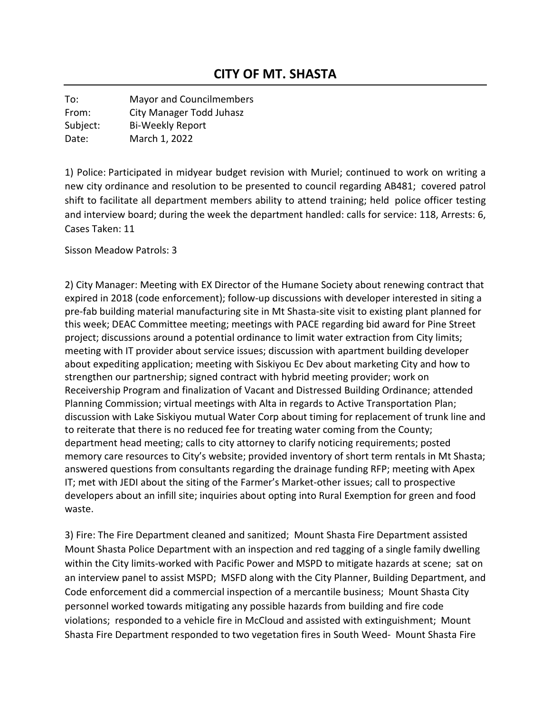To: Mayor and Councilmembers From: City Manager Todd Juhasz Subject: Bi-Weekly Report Date: March 1, 2022

1) Police: Participated in midyear budget revision with Muriel; continued to work on writing a new city ordinance and resolution to be presented to council regarding AB481; covered patrol shift to facilitate all department members ability to attend training; held police officer testing and interview board; during the week the department handled: calls for service: 118, Arrests: 6, Cases Taken: 11

Sisson Meadow Patrols: 3

2) City Manager: Meeting with EX Director of the Humane Society about renewing contract that expired in 2018 (code enforcement); follow-up discussions with developer interested in siting a pre-fab building material manufacturing site in Mt Shasta-site visit to existing plant planned for this week; DEAC Committee meeting; meetings with PACE regarding bid award for Pine Street project; discussions around a potential ordinance to limit water extraction from City limits; meeting with IT provider about service issues; discussion with apartment building developer about expediting application; meeting with Siskiyou Ec Dev about marketing City and how to strengthen our partnership; signed contract with hybrid meeting provider; work on Receivership Program and finalization of Vacant and Distressed Building Ordinance; attended Planning Commission; virtual meetings with Alta in regards to Active Transportation Plan; discussion with Lake Siskiyou mutual Water Corp about timing for replacement of trunk line and to reiterate that there is no reduced fee for treating water coming from the County; department head meeting; calls to city attorney to clarify noticing requirements; posted memory care resources to City's website; provided inventory of short term rentals in Mt Shasta; answered questions from consultants regarding the drainage funding RFP; meeting with Apex IT; met with JEDI about the siting of the Farmer's Market-other issues; call to prospective developers about an infill site; inquiries about opting into Rural Exemption for green and food waste.

3) Fire: The Fire Department cleaned and sanitized; Mount Shasta Fire Department assisted Mount Shasta Police Department with an inspection and red tagging of a single family dwelling within the City limits-worked with Pacific Power and MSPD to mitigate hazards at scene; sat on an interview panel to assist MSPD; MSFD along with the City Planner, Building Department, and Code enforcement did a commercial inspection of a mercantile business; Mount Shasta City personnel worked towards mitigating any possible hazards from building and fire code violations; responded to a vehicle fire in McCloud and assisted with extinguishment; Mount Shasta Fire Department responded to two vegetation fires in South Weed- Mount Shasta Fire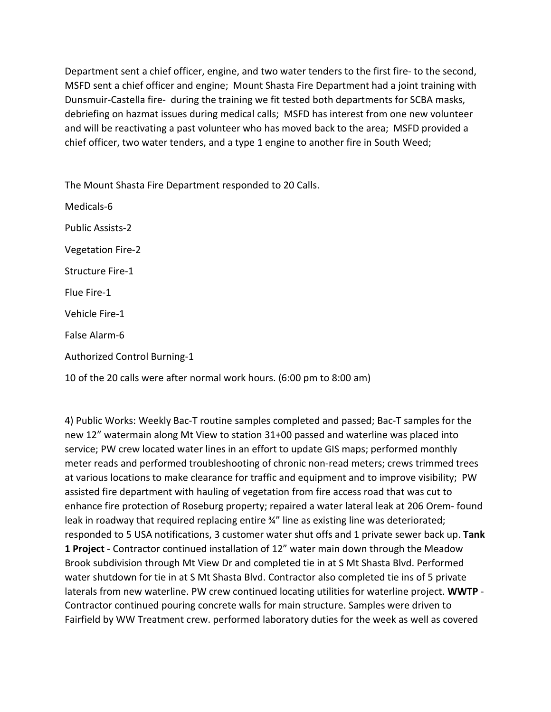Department sent a chief officer, engine, and two water tenders to the first fire- to the second, MSFD sent a chief officer and engine; Mount Shasta Fire Department had a joint training with Dunsmuir-Castella fire- during the training we fit tested both departments for SCBA masks, debriefing on hazmat issues during medical calls; MSFD has interest from one new volunteer and will be reactivating a past volunteer who has moved back to the area; MSFD provided a chief officer, two water tenders, and a type 1 engine to another fire in South Weed;

The Mount Shasta Fire Department responded to 20 Calls.

Medicals-6 Public Assists-2 Vegetation Fire-2 Structure Fire-1 Flue Fire-1 Vehicle Fire-1 False Alarm-6 Authorized Control Burning-1

10 of the 20 calls were after normal work hours. (6:00 pm to 8:00 am)

4) Public Works: Weekly Bac-T routine samples completed and passed; Bac-T samples for the new 12" watermain along Mt View to station 31+00 passed and waterline was placed into service; PW crew located water lines in an effort to update GIS maps; performed monthly meter reads and performed troubleshooting of chronic non-read meters; crews trimmed trees at various locations to make clearance for traffic and equipment and to improve visibility; PW assisted fire department with hauling of vegetation from fire access road that was cut to enhance fire protection of Roseburg property; repaired a water lateral leak at 206 Orem- found leak in roadway that required replacing entire 34" line as existing line was deteriorated; responded to 5 USA notifications, 3 customer water shut offs and 1 private sewer back up. **Tank 1 Project** - Contractor continued installation of 12" water main down through the Meadow Brook subdivision through Mt View Dr and completed tie in at S Mt Shasta Blvd. Performed water shutdown for tie in at S Mt Shasta Blvd. Contractor also completed tie ins of 5 private laterals from new waterline. PW crew continued locating utilities for waterline project. **WWTP** - Contractor continued pouring concrete walls for main structure. Samples were driven to Fairfield by WW Treatment crew. performed laboratory duties for the week as well as covered